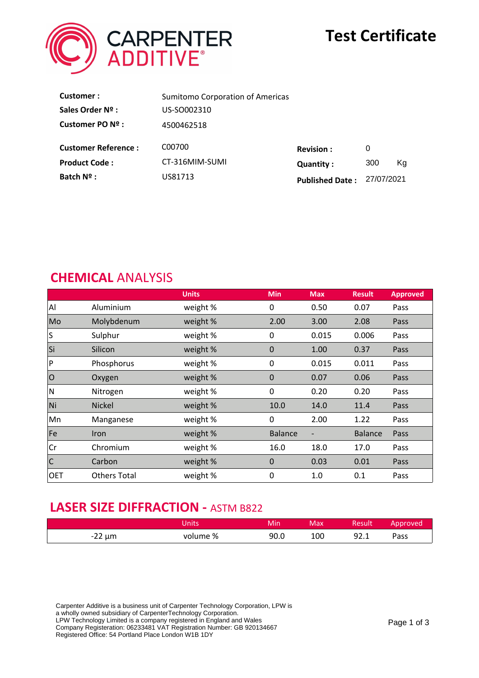

# **Test Certificate**

| Customer:                  | <b>Sumitomo Corporation of Americas</b> |                        |            |    |
|----------------------------|-----------------------------------------|------------------------|------------|----|
| Sales Order Nº :           | US-SO002310                             |                        |            |    |
| Customer PO Nº :           | 4500462518                              |                        |            |    |
| <b>Customer Reference:</b> | C00700                                  | <b>Revision:</b>       | 0          |    |
| <b>Product Code:</b>       | CT-316MIM-SUMI                          | <b>Quantity:</b>       | 300        | Ka |
| Batch Nº :                 | US81713                                 | <b>Published Date:</b> | 27/07/2021 |    |

#### **CHEMICAL** ANALYSIS

|                         |                     | <b>Units</b> | <b>Min</b>     | <b>Max</b> | <b>Result</b>  | <b>Approved</b> |
|-------------------------|---------------------|--------------|----------------|------------|----------------|-----------------|
| Al                      | Aluminium           | weight %     | 0              | 0.50       | 0.07           | Pass            |
| Mo                      | Molybdenum          | weight %     | 2.00           | 3.00       | 2.08           | Pass            |
| ls.                     | Sulphur             | weight %     | 0              | 0.015      | 0.006          | Pass            |
| Si                      | Silicon             | weight %     | $\mathbf 0$    | 1.00       | 0.37           | Pass            |
| $\mathsf{P}$            | Phosphorus          | weight %     | 0              | 0.015      | 0.011          | Pass            |
| $ 0\rangle$             | Oxygen              | weight %     | $\mathbf 0$    | 0.07       | 0.06           | Pass            |
| M                       | Nitrogen            | weight %     | 0              | 0.20       | 0.20           | Pass            |
| Ni                      | <b>Nickel</b>       | weight %     | 10.0           | 14.0       | 11.4           | Pass            |
| Mn                      | Manganese           | weight %     | 0              | 2.00       | 1.22           | Pass            |
| Fe                      | <b>Iron</b>         | weight %     | <b>Balance</b> |            | <b>Balance</b> | Pass            |
| Cr                      | Chromium            | weight %     | 16.0           | 18.0       | 17.0           | Pass            |
| $\overline{\mathsf{C}}$ | Carbon              | weight %     | $\mathbf 0$    | 0.03       | 0.01           | Pass            |
| <b>OET</b>              | <b>Others Total</b> | weight %     | 0              | 1.0        | 0.1            | Pass            |

# **LASER SIZE DIFFRACTION - ASTM B822**

|             | nits     | Min  | Max | Result       | Approved |
|-------------|----------|------|-----|--------------|----------|
| $-22 \mu m$ | volume % | 90.0 | 100 | QJ 1<br>コム・エ | Pass     |

Carpenter Additive is a business unit of Carpenter Technology Corporation, LPW is a wholly owned subsidiary of CarpenterTechnology Corporation. LPW Technology Limited is a company registered in England and Wales Company Registeration: 06233481 VAT Registration Number: GB 920134667 Registered Office: 54 Portland Place London W1B 1DY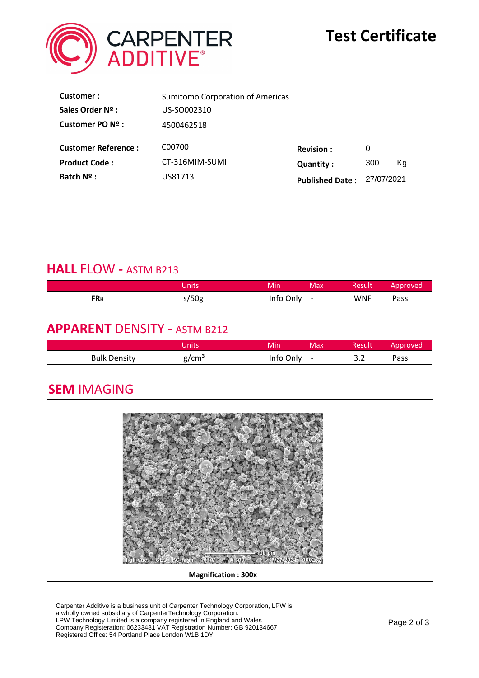

| Customer:                  | <b>Sumitomo Corporation of Americas</b> |                        |            |    |
|----------------------------|-----------------------------------------|------------------------|------------|----|
| Sales Order Nº :           | US-SO002310                             |                        |            |    |
| Customer PO Nº :           | 4500462518                              |                        |            |    |
| <b>Customer Reference:</b> | C00700                                  | <b>Revision:</b>       | 0          |    |
| <b>Product Code:</b>       | CT-316MIM-SUMI                          | <b>Quantity:</b>       | 300        | Ka |
| Batch Nº :                 | US81713                                 | <b>Published Date:</b> | 27/07/2021 |    |

## **HALL** FLOW **-** ASTM B213

|     | Jnits | Min<br>Max                            | Result' | Approved |
|-----|-------|---------------------------------------|---------|----------|
| FRн | s/50g | info Only<br>$\overline{\phantom{a}}$ | WNF     | Pass     |

### **APPARENT** DENSITY **-** ASTM B212

|                     | <b>Units</b> | Min  | Max. | Result               | pproved |
|---------------------|--------------|------|------|----------------------|---------|
| <b>Bulk Density</b> | ደ/cmª        | Only | -    | $\sim$ $\sim$<br>J.L | Pass    |

# **SEM** IMAGING



Carpenter Additive is a business unit of Carpenter Technology Corporation, LPW is a wholly owned subsidiary of CarpenterTechnology Corporation. LPW Technology Limited is a company registered in England and Wales Company Registeration: 06233481 VAT Registration Number: GB 920134667 Registered Office: 54 Portland Place London W1B 1DY